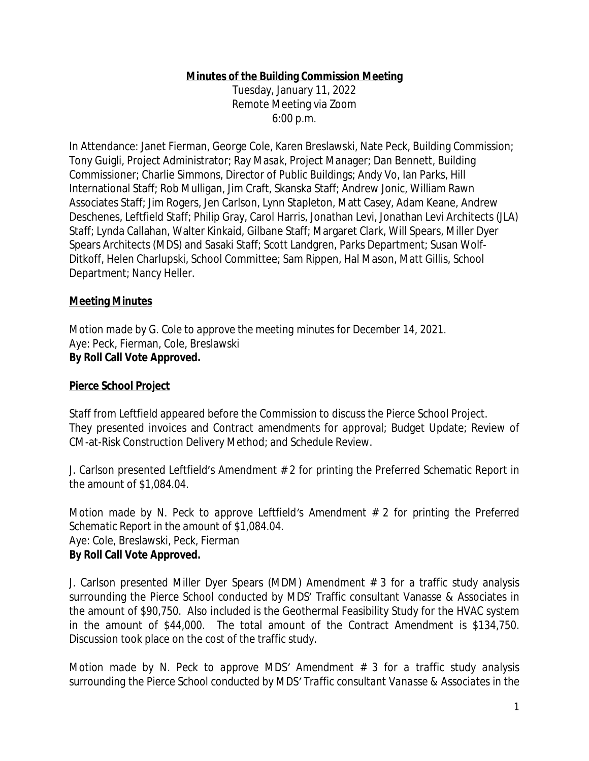#### **Minutes of the Building Commission Meeting**

Tuesday, January 11, 2022 Remote Meeting via Zoom 6:00 p.m.

In Attendance: Janet Fierman, George Cole, Karen Breslawski, Nate Peck, Building Commission; Tony Guigli, Project Administrator; Ray Masak, Project Manager; Dan Bennett, Building Commissioner; Charlie Simmons, Director of Public Buildings; Andy Vo, Ian Parks, Hill International Staff; Rob Mulligan, Jim Craft, Skanska Staff; Andrew Jonic, William Rawn Associates Staff; Jim Rogers, Jen Carlson, Lynn Stapleton, Matt Casey, Adam Keane, Andrew Deschenes, Leftfield Staff; Philip Gray, Carol Harris, Jonathan Levi, Jonathan Levi Architects (JLA) Staff; Lynda Callahan, Walter Kinkaid, Gilbane Staff; Margaret Clark, Will Spears, Miller Dyer Spears Architects (MDS) and Sasaki Staff; Scott Landgren, Parks Department; Susan Wolf-Ditkoff, Helen Charlupski, School Committee; Sam Rippen, Hal Mason, Matt Gillis, School Department; Nancy Heller.

#### **Meeting Minutes**

*Motion made by G. Cole to approve the meeting minutes for December 14, 2021.* Aye: Peck, Fierman, Cole, Breslawski **By Roll Call Vote Approved.**

#### **Pierce School Project**

Staff from Leftfield appeared before the Commission to discuss the Pierce School Project. They presented invoices and Contract amendments for approval; Budget Update; Review of CM-at-Risk Construction Delivery Method; and Schedule Review.

J. Carlson presented Leftfield's Amendment # 2 for printing the Preferred Schematic Report in the amount of \$1,084.04.

*Motion made by N. Peck to approve Leftfield's Amendment # 2 for printing the Preferred Schematic Report in the amount of \$1,084.04.* Aye: Cole, Breslawski, Peck, Fierman **By Roll Call Vote Approved.**

J. Carlson presented Miller Dyer Spears (MDM) Amendment # 3 for a traffic study analysis surrounding the Pierce School conducted by MDS' Traffic consultant Vanasse & Associates in the amount of \$90,750. Also included is the Geothermal Feasibility Study for the HVAC system in the amount of \$44,000. The total amount of the Contract Amendment is \$134,750. Discussion took place on the cost of the traffic study.

*Motion made by N. Peck to approve MDS' Amendment # 3 for a traffic study analysis surrounding the Pierce School conducted by MDS' Traffic consultant Vanasse & Associates in the*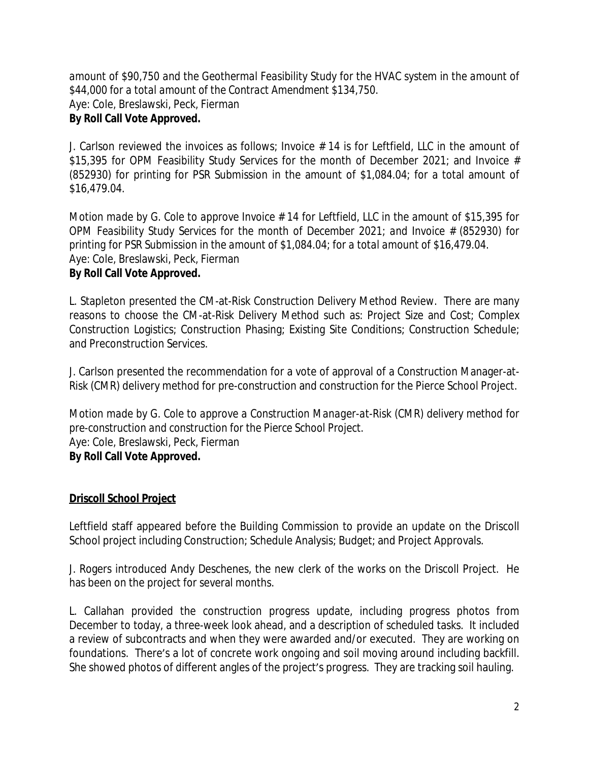*amount of \$90,750 and the Geothermal Feasibility Study for the HVAC system in the amount of \$44,000 for a total amount of the Contract Amendment \$134,750.* Aye: Cole, Breslawski, Peck, Fierman

#### **By Roll Call Vote Approved.**

J. Carlson reviewed the invoices as follows; Invoice # 14 is for Leftfield, LLC in the amount of \$15,395 for OPM Feasibility Study Services for the month of December 2021; and Invoice # (852930) for printing for PSR Submission in the amount of \$1,084.04; for a total amount of \$16,479.04.

Motion made by G. Cole to approve Invoice # 14 for Leftfield, LLC in the amount of \$15,395 for *OPM Feasibility Study Services for the month of December 2021; and Invoice # (852930) for printing for PSR Submission in the amount of \$1,084.04; for a total amount of \$16,479.04.* Aye: Cole, Breslawski, Peck, Fierman

### **By Roll Call Vote Approved.**

L. Stapleton presented the CM-at-Risk Construction Delivery Method Review. There are many reasons to choose the CM-at-Risk Delivery Method such as: Project Size and Cost; Complex Construction Logistics; Construction Phasing; Existing Site Conditions; Construction Schedule; and Preconstruction Services.

J. Carlson presented the recommendation for a vote of approval of a Construction Manager-at-Risk (CMR) delivery method for pre-construction and construction for the Pierce School Project.

*Motion made by G. Cole to approve a Construction Manager-at-Risk (CMR) delivery method for pre-construction and construction for the Pierce School Project.*  Aye: Cole, Breslawski, Peck, Fierman **By Roll Call Vote Approved.**

# **Driscoll School Project**

Leftfield staff appeared before the Building Commission to provide an update on the Driscoll School project including Construction; Schedule Analysis; Budget; and Project Approvals.

J. Rogers introduced Andy Deschenes, the new clerk of the works on the Driscoll Project. He has been on the project for several months.

L. Callahan provided the construction progress update, including progress photos from December to today, a three-week look ahead, and a description of scheduled tasks. It included a review of subcontracts and when they were awarded and/or executed. They are working on foundations. There's a lot of concrete work ongoing and soil moving around including backfill. She showed photos of different angles of the project's progress. They are tracking soil hauling.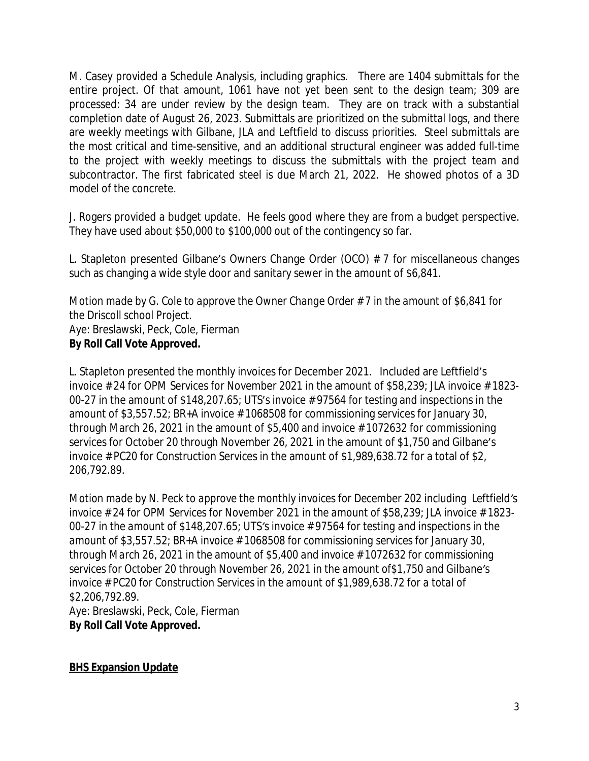M. Casey provided a Schedule Analysis, including graphics. There are 1404 submittals for the entire project. Of that amount, 1061 have not yet been sent to the design team; 309 are processed: 34 are under review by the design team. They are on track with a substantial completion date of August 26, 2023. Submittals are prioritized on the submittal logs, and there are weekly meetings with Gilbane, JLA and Leftfield to discuss priorities. Steel submittals are the most critical and time-sensitive, and an additional structural engineer was added full-time to the project with weekly meetings to discuss the submittals with the project team and subcontractor. The first fabricated steel is due March 21, 2022. He showed photos of a 3D model of the concrete.

J. Rogers provided a budget update. He feels good where they are from a budget perspective. They have used about \$50,000 to \$100,000 out of the contingency so far.

L. Stapleton presented Gilbane's Owners Change Order (OCO) # 7 for miscellaneous changes such as changing a wide style door and sanitary sewer in the amount of \$6,841.

*Motion made by G. Cole to approve the Owner Change Order # 7 in the amount of \$6,841 for the Driscoll school Project.* Aye: Breslawski, Peck, Cole, Fierman **By Roll Call Vote Approved.**

L. Stapleton presented the monthly invoices for December 2021. Included are Leftfield's invoice # 24 for OPM Services for November 2021 in the amount of \$58,239; JLA invoice # 1823- 00-27 in the amount of \$148,207.65; UTS's invoice # 97564 for testing and inspections in the amount of \$3,557.52; BR+A invoice # 1068508 for commissioning services for January 30, through March 26, 2021 in the amount of \$5,400 and invoice # 1072632 for commissioning services for October 20 through November 26, 2021 in the amount of \$1,750 and Gilbane's invoice # PC20 for Construction Services in the amount of \$1,989,638.72 for a total of \$2, 206,792.89.

*Motion made by N. Peck to approve the monthly invoices for December 202 including Leftfield's invoice # 24 for OPM Services for November 2021 in the amount of \$58,239; JLA invoice # 1823- 00-27 in the amount of \$148,207.65; UTS's invoice # 97564 for testing and inspections in the amount of \$3,557.52; BR+A invoice # 1068508 for commissioning services for January 30, through March 26, 2021 in the amount of \$5,400 and invoice # 1072632 for commissioning services for October 20 through November 26, 2021 in the amount of\$1,750 and Gilbane's invoice # PC20 for Construction Services in the amount of \$1,989,638.72 for a total of \$2,206,792.89.* Aye: Breslawski, Peck, Cole, Fierman **By Roll Call Vote Approved.**

**BHS Expansion Update**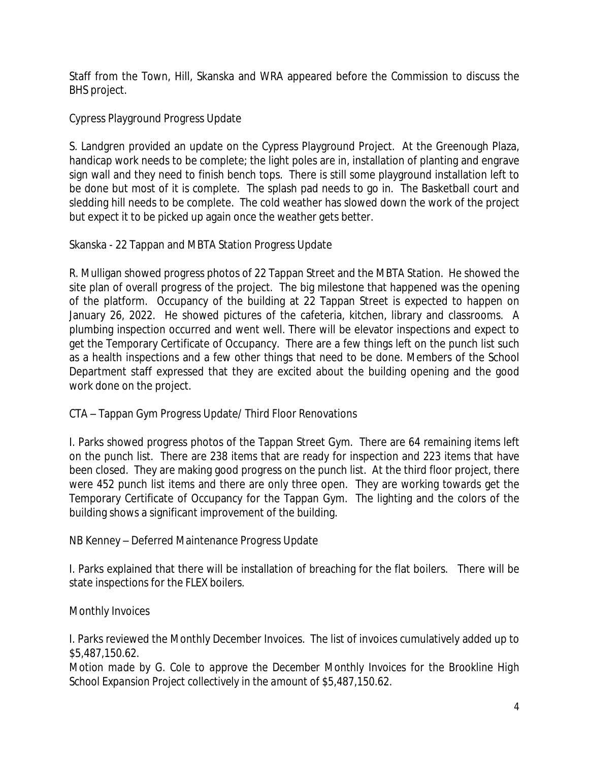Staff from the Town, Hill, Skanska and WRA appeared before the Commission to discuss the BHS project.

Cypress Playground Progress Update

S. Landgren provided an update on the Cypress Playground Project. At the Greenough Plaza, handicap work needs to be complete; the light poles are in, installation of planting and engrave sign wall and they need to finish bench tops. There is still some playground installation left to be done but most of it is complete. The splash pad needs to go in. The Basketball court and sledding hill needs to be complete. The cold weather has slowed down the work of the project but expect it to be picked up again once the weather gets better.

Skanska - 22 Tappan and MBTA Station Progress Update

R. Mulligan showed progress photos of 22 Tappan Street and the MBTA Station. He showed the site plan of overall progress of the project. The big milestone that happened was the opening of the platform. Occupancy of the building at 22 Tappan Street is expected to happen on January 26, 2022. He showed pictures of the cafeteria, kitchen, library and classrooms. A plumbing inspection occurred and went well. There will be elevator inspections and expect to get the Temporary Certificate of Occupancy. There are a few things left on the punch list such as a health inspections and a few other things that need to be done. Members of the School Department staff expressed that they are excited about the building opening and the good work done on the project.

CTA – Tappan Gym Progress Update/ Third Floor Renovations

I. Parks showed progress photos of the Tappan Street Gym. There are 64 remaining items left on the punch list. There are 238 items that are ready for inspection and 223 items that have been closed. They are making good progress on the punch list. At the third floor project, there were 452 punch list items and there are only three open. They are working towards get the Temporary Certificate of Occupancy for the Tappan Gym. The lighting and the colors of the building shows a significant improvement of the building.

NB Kenney – Deferred Maintenance Progress Update

I. Parks explained that there will be installation of breaching for the flat boilers. There will be state inspections for the FLEX boilers.

Monthly Invoices

I. Parks reviewed the Monthly December Invoices. The list of invoices cumulatively added up to \$5,487,150.62.

*Motion made by G. Cole to approve the December Monthly Invoices for the Brookline High School Expansion Project collectively in the amount of \$5,487,150.62.*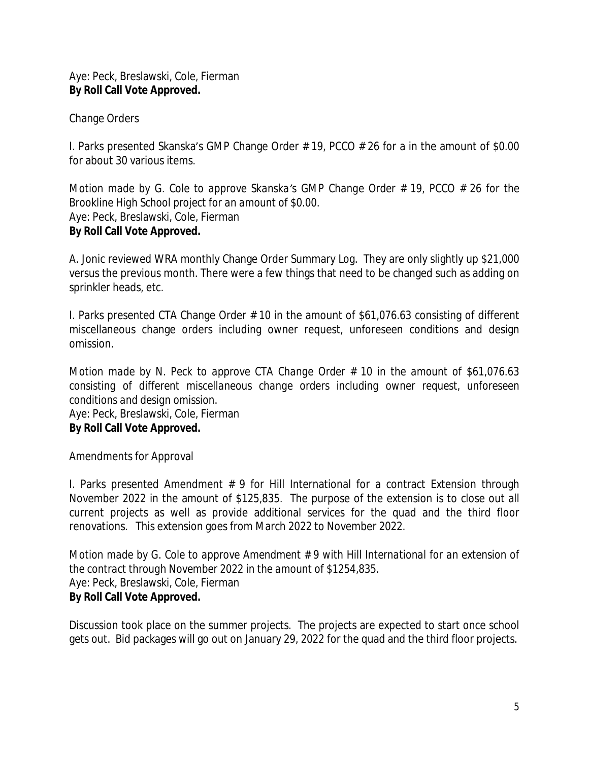Aye: Peck, Breslawski, Cole, Fierman **By Roll Call Vote Approved.**

Change Orders

I. Parks presented Skanska's GMP Change Order # 19, PCCO # 26 for a in the amount of \$0.00 for about 30 various items.

*Motion made by G. Cole to approve Skanska's GMP Change Order # 19, PCCO # 26 for the Brookline High School project for an amount of \$0.00.* Aye: Peck, Breslawski, Cole, Fierman **By Roll Call Vote Approved.**

A. Jonic reviewed WRA monthly Change Order Summary Log. They are only slightly up \$21,000 versus the previous month. There were a few things that need to be changed such as adding on sprinkler heads, etc.

I. Parks presented CTA Change Order # 10 in the amount of \$61,076.63 consisting of different miscellaneous change orders including owner request, unforeseen conditions and design omission.

*Motion made by N. Peck to approve CTA Change Order # 10 in the amount of \$61,076.63 consisting of different miscellaneous change orders including owner request, unforeseen conditions and design omission.* Aye: Peck, Breslawski, Cole, Fierman **By Roll Call Vote Approved.**

Amendments for Approval

I. Parks presented Amendment # 9 for Hill International for a contract Extension through November 2022 in the amount of \$125,835. The purpose of the extension is to close out all current projects as well as provide additional services for the quad and the third floor renovations. This extension goes from March 2022 to November 2022.

*Motion made by G. Cole to approve Amendment # 9 with Hill International for an extension of the contract through November 2022 in the amount of \$1254,835.* Aye: Peck, Breslawski, Cole, Fierman **By Roll Call Vote Approved.**

Discussion took place on the summer projects. The projects are expected to start once school gets out. Bid packages will go out on January 29, 2022 for the quad and the third floor projects.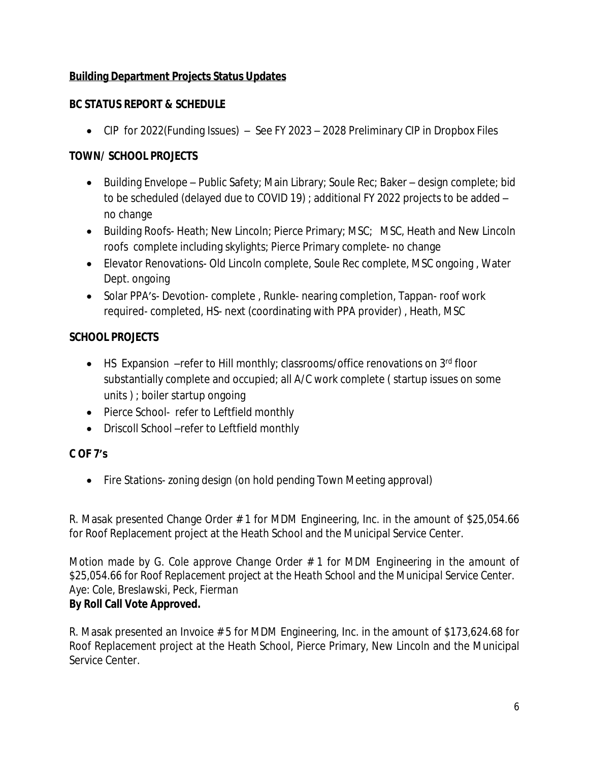# **Building Department Projects Status Updates**

# **BC STATUS REPORT & SCHEDULE**

CIP for 2022(Funding Issues) – See FY 2023 – 2028 Preliminary CIP in Dropbox Files

# **TOWN/ SCHOOL PROJECTS**

- Building Envelope Public Safety; Main Library; Soule Rec; Baker design complete; bid to be scheduled (delayed due to COVID 19) ; additional FY 2022 projects to be added – no change
- Building Roofs- Heath; New Lincoln; Pierce Primary; MSC; MSC, Heath and New Lincoln roofs complete including skylights; Pierce Primary complete- no change
- Elevator Renovations- Old Lincoln complete, Soule Rec complete, MSC ongoing , Water Dept. ongoing
- Solar PPA's- Devotion- complete, Runkle- nearing completion, Tappan- roof work required- completed, HS- next (coordinating with PPA provider) , Heath, MSC

# **SCHOOL PROJECTS**

- $\bullet$  HS Expansion –refer to Hill monthly; classrooms/office renovations on 3<sup>rd</sup> floor substantially complete and occupied; all A/C work complete ( startup issues on some units ) ; boiler startup ongoing
- Pierce School- refer to Leftfield monthly
- Driscoll School –refer to Leftfield monthly

# **C OF 7's**

• Fire Stations- zoning design (on hold pending Town Meeting approval)

R. Masak presented Change Order # 1 for MDM Engineering, Inc. in the amount of \$25,054.66 for Roof Replacement project at the Heath School and the Municipal Service Center.

*Motion made by G. Cole approve Change Order # 1 for MDM Engineering in the amount of \$25,054.66 for Roof Replacement project at the Heath School and the Municipal Service Center. Aye: Cole, Breslawski, Peck, Fierman* **By Roll Call Vote Approved.**

R. Masak presented an Invoice # 5 for MDM Engineering, Inc. in the amount of \$173,624.68 for Roof Replacement project at the Heath School, Pierce Primary, New Lincoln and the Municipal Service Center.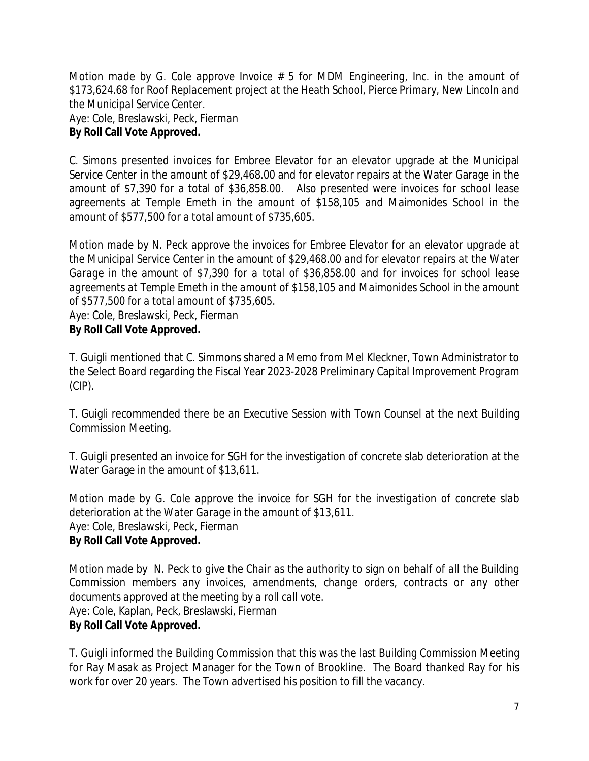*Motion made by G. Cole approve Invoice # 5 for MDM Engineering, Inc. in the amount of \$173,624.68 for Roof Replacement project at the Heath School, Pierce Primary, New Lincoln and the Municipal Service Center. Aye: Cole, Breslawski, Peck, Fierman*

# **By Roll Call Vote Approved.**

C. Simons presented invoices for Embree Elevator for an elevator upgrade at the Municipal Service Center in the amount of \$29,468.00 and for elevator repairs at the Water Garage in the amount of \$7,390 for a total of \$36,858.00. Also presented were invoices for school lease agreements at Temple Emeth in the amount of \$158,105 and Maimonides School in the amount of \$577,500 for a total amount of \$735,605.

*Motion made by N. Peck approve the invoices for Embree Elevator for an elevator upgrade at the Municipal Service Center in the amount of \$29,468.00 and for elevator repairs at the Water Garage in the amount of \$7,390 for a total of \$36,858.00 and for invoices for school lease agreements at Temple Emeth in the amount of \$158,105 and Maimonides School in the amount of \$577,500 for a total amount of \$735,605.*

### *Aye: Cole, Breslawski, Peck, Fierman*

#### **By Roll Call Vote Approved.**

T. Guigli mentioned that C. Simmons shared a Memo from Mel Kleckner, Town Administrator to the Select Board regarding the Fiscal Year 2023-2028 Preliminary Capital Improvement Program (CIP).

T. Guigli recommended there be an Executive Session with Town Counsel at the next Building Commission Meeting.

T. Guigli presented an invoice for SGH for the investigation of concrete slab deterioration at the Water Garage in the amount of \$13,611.

*Motion made by G. Cole approve the invoice for SGH for the investigation of concrete slab deterioration at the Water Garage in the amount of \$13,611. Aye: Cole, Breslawski, Peck, Fierman* **By Roll Call Vote Approved.**

Motion made by N. Peck to give the Chair as the authority to sign on behalf of all the Building *Commission members any invoices, amendments, change orders, contracts or any other documents approved at the meeting by a roll call vote.* Aye: Cole, Kaplan, Peck, Breslawski, Fierman **By Roll Call Vote Approved.**

T. Guigli informed the Building Commission that this was the last Building Commission Meeting for Ray Masak as Project Manager for the Town of Brookline. The Board thanked Ray for his work for over 20 years. The Town advertised his position to fill the vacancy.